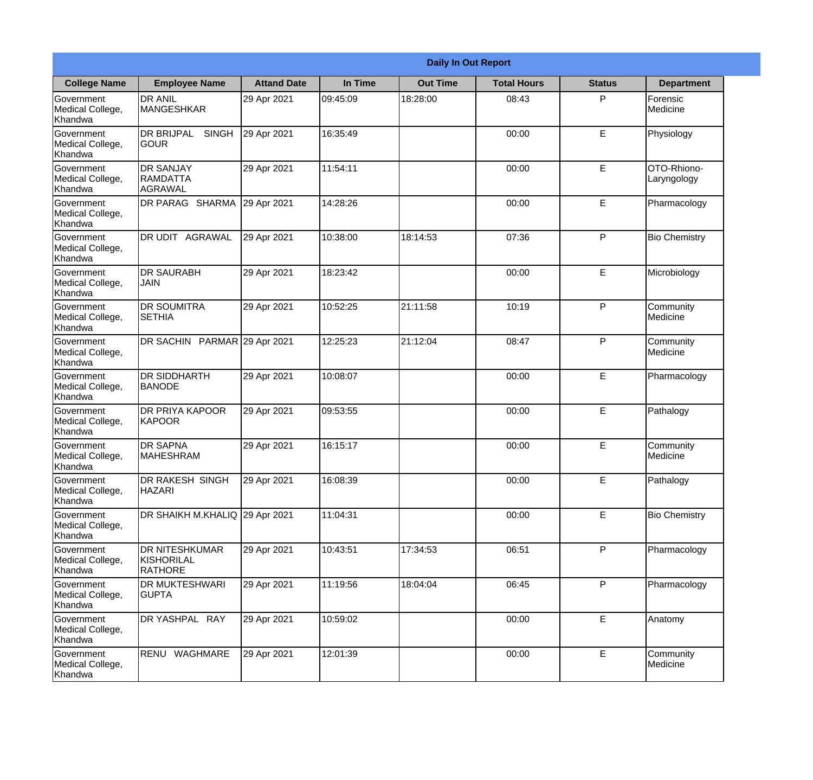|                                                  | <b>Daily In Out Report</b>                       |                    |          |                 |                    |               |                            |
|--------------------------------------------------|--------------------------------------------------|--------------------|----------|-----------------|--------------------|---------------|----------------------------|
| <b>College Name</b>                              | <b>Employee Name</b>                             | <b>Attand Date</b> | In Time  | <b>Out Time</b> | <b>Total Hours</b> | <b>Status</b> | <b>Department</b>          |
| Government<br>Medical College,<br>Khandwa        | <b>DR ANIL</b><br><b>MANGESHKAR</b>              | 29 Apr 2021        | 09:45:09 | 18:28:00        | 08:43              | P             | Forensic<br>Medicine       |
| Government<br>Medical College,<br>Khandwa        | <b>DR BRIJPAL</b><br><b>SINGH</b><br><b>GOUR</b> | 29 Apr 2021        | 16:35:49 |                 | 00:00              | E             | Physiology                 |
| <b>Government</b><br>Medical College,<br>Khandwa | <b>DR SANJAY</b><br>RAMDATTA<br>AGRAWAL          | 29 Apr 2021        | 11:54:11 |                 | 00:00              | E             | OTO-Rhiono-<br>Laryngology |
| Government<br>Medical College,<br>Khandwa        | DR PARAG SHARMA                                  | 29 Apr 2021        | 14:28:26 |                 | 00:00              | E             | Pharmacology               |
| Government<br>Medical College,<br>Khandwa        | <b>AGRAWAL</b><br>DR UDIT                        | 29 Apr 2021        | 10:38:00 | 18:14:53        | 07:36              | P             | <b>Bio Chemistry</b>       |
| Government<br>Medical College,<br>Khandwa        | <b>DR SAURABH</b><br><b>JAIN</b>                 | 29 Apr 2021        | 18:23:42 |                 | 00:00              | E             | Microbiology               |
| Government<br>Medical College,<br>Khandwa        | <b>DR SOUMITRA</b><br><b>SETHIA</b>              | 29 Apr 2021        | 10:52:25 | 21:11:58        | 10:19              | P             | Community<br>Medicine      |
| Government<br>Medical College,<br>Khandwa        | DR SACHIN PARMAR 29 Apr 2021                     |                    | 12:25:23 | 21:12:04        | 08:47              | P             | Community<br>Medicine      |
| Government<br>Medical College,<br>Khandwa        | <b>DR SIDDHARTH</b><br><b>BANODE</b>             | 29 Apr 2021        | 10:08:07 |                 | 00:00              | E             | Pharmacology               |
| Government<br>Medical College,<br>Khandwa        | <b>DR PRIYA KAPOOR</b><br><b>KAPOOR</b>          | 29 Apr 2021        | 09:53:55 |                 | 00:00              | E             | Pathalogy                  |
| Government<br>Medical College,<br>Khandwa        | <b>DR SAPNA</b><br>MAHESHRAM                     | 29 Apr 2021        | 16:15:17 |                 | 00:00              | E             | Community<br>Medicine      |
| Government<br>Medical College,<br>Khandwa        | <b>DR RAKESH SINGH</b><br><b>HAZARI</b>          | 29 Apr 2021        | 16:08:39 |                 | 00:00              | E             | Pathalogy                  |
| Government<br>Medical College,<br>Khandwa        | <b>DR SHAIKH M.KHALIQ</b>                        | 29 Apr 2021        | 11:04:31 |                 | 00:00              | E             | <b>Bio Chemistry</b>       |
| Government<br>Medical College,<br>Khandwa        | DR NITESHKUMAR<br>KISHORILAL<br><b>RATHORE</b>   | 29 Apr 2021        | 10:43:51 | 17:34:53        | 06:51              | P             | Pharmacology               |
| Government<br>Medical College,<br>Khandwa        | DR MUKTESHWARI<br><b>GUPTA</b>                   | 29 Apr 2021        | 11:19:56 | 18:04:04        | 06:45              | P             | Pharmacology               |
| Government<br>Medical College,<br>Khandwa        | DR YASHPAL RAY                                   | 29 Apr 2021        | 10:59:02 |                 | 00:00              | E             | Anatomy                    |
| Government<br>Medical College,<br>Khandwa        | RENU WAGHMARE                                    | 29 Apr 2021        | 12:01:39 |                 | 00:00              | E             | Community<br>Medicine      |